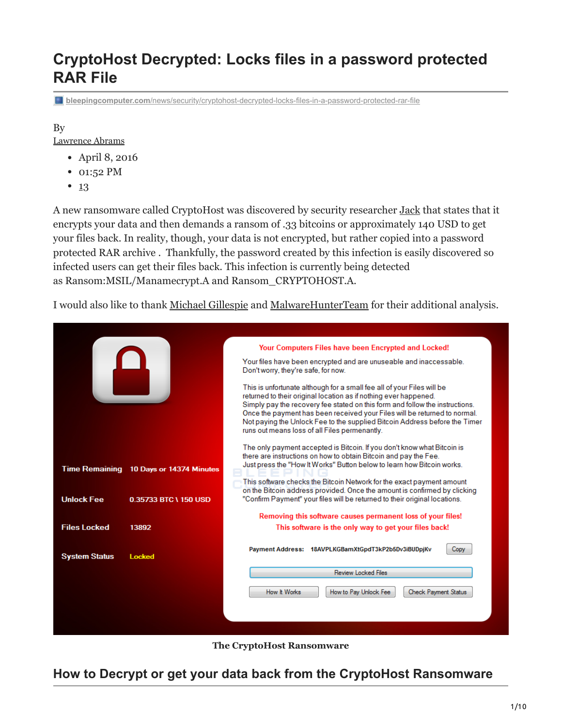# **CryptoHost Decrypted: Locks files in a password protected RAR File**

**bleepingcomputer.com**[/news/security/cryptohost-decrypted-locks-files-in-a-password-protected-rar-file](https://www.bleepingcomputer.com/news/security/cryptohost-decrypted-locks-files-in-a-password-protected-rar-file/)

## By

[Lawrence Abrams](https://www.bleepingcomputer.com/author/lawrence-abrams/)

- April 8, 2016
- 01:52 PM
- $13$  $13$

A new ransomware called CryptoHost was discovered by security researcher [Jack](https://twitter.com/intent/user?screen_name=malwareforme) that states that it encrypts your data and then demands a ransom of .33 bitcoins or approximately 140 USD to get your files back. In reality, though, your data is not encrypted, but rather copied into a password protected RAR archive . Thankfully, the password created by this infection is easily discovered so infected users can get their files back. This infection is currently being detected as Ransom:MSIL/Manamecrypt.A and Ransom\_CRYPTOHOST.A.

I would also like to thank [Michael Gillespie](https://twitter.com/demonslay335) and [MalwareHunterTeam](https://twitter.com/malwrhunterteam) for their additional analysis.



**The CryptoHost Ransomware**

## **How to Decrypt or get your data back from the CryptoHost Ransomware**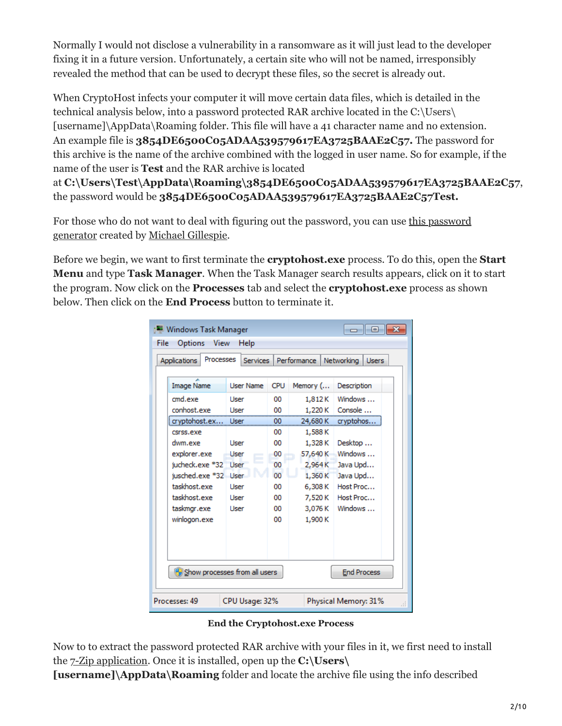Normally I would not disclose a vulnerability in a ransomware as it will just lead to the developer fixing it in a future version. Unfortunately, a certain site who will not be named, irresponsibly revealed the method that can be used to decrypt these files, so the secret is already out.

When CryptoHost infects your computer it will move certain data files, which is detailed in the technical analysis below, into a password protected RAR archive located in the C:\Users\ [username]\AppData\Roaming folder. This file will have a 41 character name and no extension. An example file is **3854DE6500C05ADAA539579617EA3725BAAE2C57.** The password for this archive is the name of the archive combined with the logged in user name. So for example, if the name of the user is **Test** and the RAR archive is located

at **C:\Users\Test\AppData\Roaming\3854DE6500C05ADAA539579617EA3725BAAE2C57**, the password would be **3854DE6500C05ADAA539579617EA3725BAAE2C57Test.**

[For those who do not want to deal with figuring out the password, you can use this password](https://www.dropbox.com/s/zbs3z3mmq9waq3h/CryptoHost%20Keygen.exe?dl=1) generator created by [Michael Gillespie.](https://twitter.com/demonslay335)

Before we begin, we want to first terminate the **cryptohost.exe** process. To do this, open the **Start Menu** and type **Task Manager**. When the Task Manager search results appears, click on it to start the program. Now click on the **Processes** tab and select the **cryptohost.exe** process as shown below. Then click on the **End Process** button to terminate it.

| <b>Windows Task Manager</b><br>-- - -<br>Options<br>File<br>View<br>Help |                  |             |          |                            |  |  |
|--------------------------------------------------------------------------|------------------|-------------|----------|----------------------------|--|--|
| Processes<br><b>Applications</b>                                         | <b>Services</b>  | Performance |          | Networking<br><b>Users</b> |  |  |
| <b>Image Name</b>                                                        | <b>User Name</b> | <b>CPU</b>  | Memory ( | Description                |  |  |
| cmd.exe                                                                  | <b>Liser</b>     | 00          | 1,812K   | Windows                    |  |  |
| conhost.exe                                                              | User             | 00          | 1,220 K  | Console                    |  |  |
| cryptohost.ex                                                            | User             | 00          | 24,680 K | cryptohos                  |  |  |
| csrss.exe                                                                |                  | 00          | 1,588K   |                            |  |  |
| dwm.exe                                                                  | User             | 00          | 1,328K   | Desktop                    |  |  |
| explorer.exe                                                             | User             | o٥          | 57,640 K | Windows                    |  |  |
| jucheck.exe *32                                                          | User             | 00          | 2,964K   | Java Upd                   |  |  |
| jusched.exe *32 User                                                     |                  | 00          | 1,360 K  | Java Upd                   |  |  |
| taskhost.exe                                                             | <b>Liser</b>     | ΩO          | 6,308 K  | Host Proc                  |  |  |
| taskhost.exe                                                             | User             | 00          | 7,520 K  | Host Proc                  |  |  |
| taskmgr.exe                                                              | User             | 00          | 3,076 K  | Windows                    |  |  |
| winlogon.exe                                                             |                  | 00          | 1,900K   |                            |  |  |
|                                                                          |                  |             |          |                            |  |  |
|                                                                          |                  |             |          |                            |  |  |
|                                                                          |                  |             |          |                            |  |  |
| Show processes from all users<br><b>End Process</b>                      |                  |             |          |                            |  |  |
| Processes: 49<br>CPU Usage: 32%<br>Physical Memory: 31%                  |                  |             |          |                            |  |  |

**End the Cryptohost.exe Process**

Now to to extract the password protected RAR archive with your files in it, we first need to install the [7-Zip application.](http://www.7-zip.org/) Once it is installed, open up the **C:\Users\**

**[username]\AppData\Roaming** folder and locate the archive file using the info described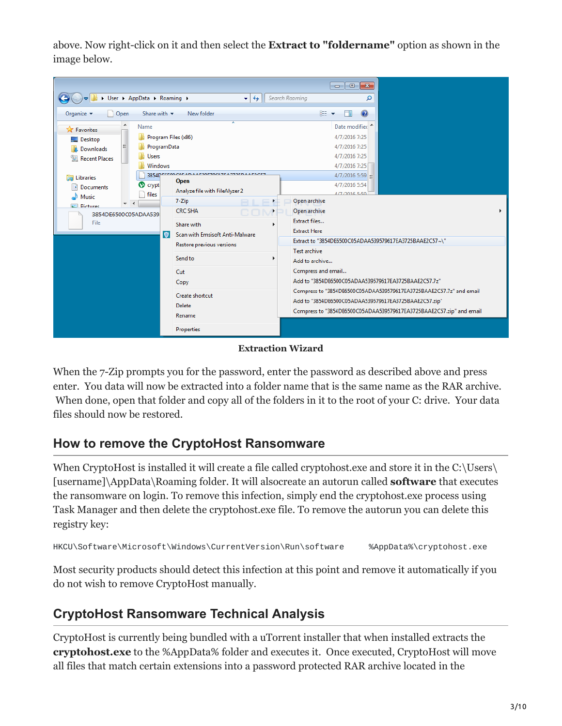above. Now right-click on it and then select the **Extract to "foldername"** option as shown in the image below.



#### **Extraction Wizard**

When the 7-Zip prompts you for the password, enter the password as described above and press enter. You data will now be extracted into a folder name that is the same name as the RAR archive. When done, open that folder and copy all of the folders in it to the root of your C: drive. Your data files should now be restored.

## **How to remove the CryptoHost Ransomware**

When CryptoHost is installed it will create a file called cryptohost.exe and store it in the C:\Users\ [username]\AppData\Roaming folder. It will alsocreate an autorun called **software** that executes the ransomware on login. To remove this infection, simply end the cryptohost.exe process using Task Manager and then delete the cryptohost.exe file. To remove the autorun you can delete this registry key:

```
HKCU\Software\Microsoft\Windows\CurrentVersion\Run\software %AppData%\cryptohost.exe
```
Most security products should detect this infection at this point and remove it automatically if you do not wish to remove CryptoHost manually.

## **CryptoHost Ransomware Technical Analysis**

CryptoHost is currently being bundled with a uTorrent installer that when installed extracts the **cryptohost.exe** to the %AppData% folder and executes it. Once executed, CryptoHost will move all files that match certain extensions into a password protected RAR archive located in the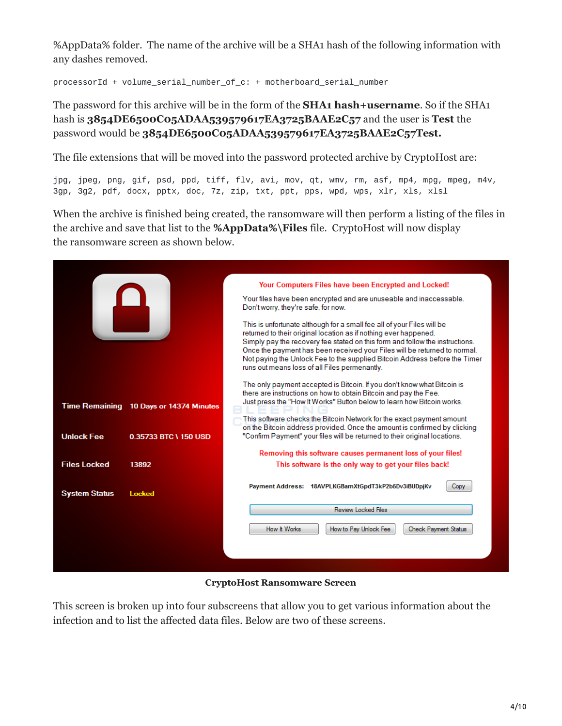%AppData% folder. The name of the archive will be a SHA1 hash of the following information with any dashes removed.

processorId + volume\_serial\_number\_of\_c: + motherboard\_serial\_number

### The password for this archive will be in the form of the **SHA1 hash+username**. So if the SHA1 hash is **3854DE6500C05ADAA539579617EA3725BAAE2C57** and the user is **Test** the password would be **3854DE6500C05ADAA539579617EA3725BAAE2C57Test.**

The file extensions that will be moved into the password protected archive by CryptoHost are:

jpg, jpeg, png, gif, psd, ppd, tiff, flv, avi, mov, qt, wmv, rm, asf, mp4, mpg, mpeg, m4v, 3gp, 3g2, pdf, docx, pptx, doc, 7z, zip, txt, ppt, pps, wpd, wps, xlr, xls, xlsl

When the archive is finished being created, the ransomware will then perform a listing of the files in the archive and save that list to the **%AppData%\Files** file. CryptoHost will now display the ransomware screen as shown below.

|                       |                          | Your Computers Files have been Encrypted and Locked!                                                                                                                                                                                                                                                                                                                                                                                   |  |  |  |
|-----------------------|--------------------------|----------------------------------------------------------------------------------------------------------------------------------------------------------------------------------------------------------------------------------------------------------------------------------------------------------------------------------------------------------------------------------------------------------------------------------------|--|--|--|
|                       |                          | Your files have been encrypted and are unuseable and inaccessable.<br>Don't worry, they're safe, for now.                                                                                                                                                                                                                                                                                                                              |  |  |  |
|                       |                          | This is unfortunate although for a small fee all of your Files will be<br>returned to their original location as if nothing ever happened.<br>Simply pay the recovery fee stated on this form and follow the instructions.<br>Once the payment has been received your Files will be returned to normal.<br>Not paying the Unlock Fee to the supplied Bitcoin Address before the Timer<br>runs out means loss of all Files permenantly. |  |  |  |
| <b>Time Remaining</b> | 10 Days or 14374 Minutes | The only payment accepted is Bitcoin. If you don't know what Bitcoin is<br>there are instructions on how to obtain Bitcoin and pay the Fee.<br>Just press the "How It Works" Button below to learn how Bitcoin works.<br>This software checks the Bitcoin Network for the exact payment amount                                                                                                                                         |  |  |  |
| <b>Unlock Fee</b>     | 0.35733 BTC \ 150 USD    | on the Bitcoin address provided. Once the amount is confirmed by clicking<br>"Confirm Payment" your files will be returned to their original locations.                                                                                                                                                                                                                                                                                |  |  |  |
|                       |                          | Removing this software causes permanent loss of your files!                                                                                                                                                                                                                                                                                                                                                                            |  |  |  |
| <b>Files Locked</b>   | 13892                    | This software is the only way to get your files back!                                                                                                                                                                                                                                                                                                                                                                                  |  |  |  |
| <b>System Status</b>  | <b>Locked</b>            | Payment Address: 18AVPLKGBamXtGpdT3kP2b5Dv3iBUDpjKv<br>Copy                                                                                                                                                                                                                                                                                                                                                                            |  |  |  |
|                       |                          | <b>Review Locked Files</b>                                                                                                                                                                                                                                                                                                                                                                                                             |  |  |  |
|                       |                          | How It Works<br>How to Pay Unlock Fee<br><b>Check Payment Status</b>                                                                                                                                                                                                                                                                                                                                                                   |  |  |  |
|                       |                          |                                                                                                                                                                                                                                                                                                                                                                                                                                        |  |  |  |
|                       |                          |                                                                                                                                                                                                                                                                                                                                                                                                                                        |  |  |  |

**CryptoHost Ransomware Screen**

This screen is broken up into four subscreens that allow you to get various information about the infection and to list the affected data files. Below are two of these screens.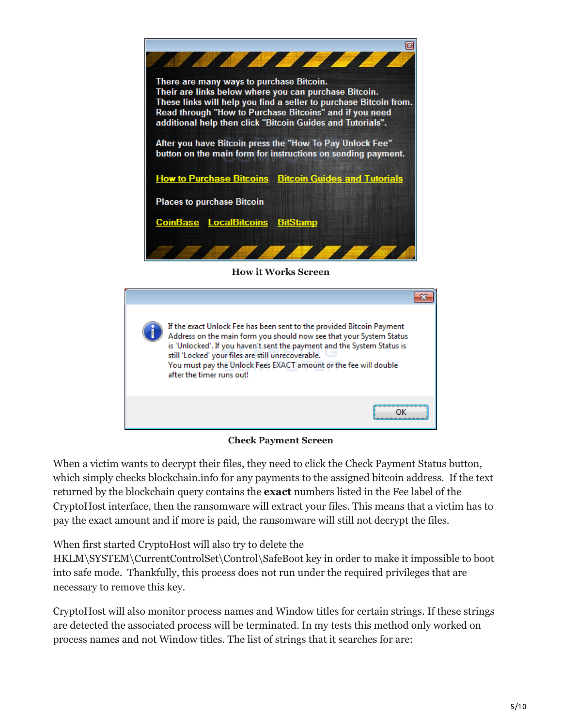

**How it Works Screen**



**Check Payment Screen**

When a victim wants to decrypt their files, they need to click the Check Payment Status button, which simply checks blockchain.info for any payments to the assigned bitcoin address. If the text returned by the blockchain query contains the **exact** numbers listed in the Fee label of the CryptoHost interface, then the ransomware will extract your files. This means that a victim has to pay the exact amount and if more is paid, the ransomware will still not decrypt the files.

When first started CryptoHost will also try to delete the

HKLM\SYSTEM\CurrentControlSet\Control\SafeBoot key in order to make it impossible to boot into safe mode. Thankfully, this process does not run under the required privileges that are necessary to remove this key.

CryptoHost will also monitor process names and Window titles for certain strings. If these strings are detected the associated process will be terminated. In my tests this method only worked on process names and not Window titles. The list of strings that it searches for are: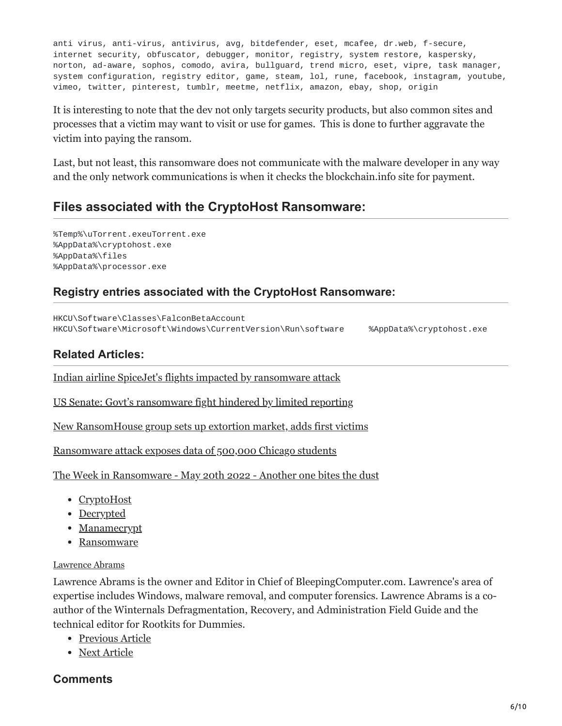anti virus, anti-virus, antivirus, avg, bitdefender, eset, mcafee, dr.web, f-secure, internet security, obfuscator, debugger, monitor, registry, system restore, kaspersky, norton, ad-aware, sophos, comodo, avira, bullguard, trend micro, eset, vipre, task manager, system configuration, registry editor, game, steam, lol, rune, facebook, instagram, youtube, vimeo, twitter, pinterest, tumblr, meetme, netflix, amazon, ebay, shop, origin

It is interesting to note that the dev not only targets security products, but also common sites and processes that a victim may want to visit or use for games. This is done to further aggravate the victim into paying the ransom.

Last, but not least, this ransomware does not communicate with the malware developer in any way and the only network communications is when it checks the blockchain.info site for payment.

## **Files associated with the CryptoHost Ransomware:**

%Temp%\uTorrent.exeuTorrent.exe %AppData%\cryptohost.exe %AppData%\files %AppData%\processor.exe

## **Registry entries associated with the CryptoHost Ransomware:**

HKCU\Software\Classes\FalconBetaAccount HKCU\Software\Microsoft\Windows\CurrentVersion\Run\software %AppData%\cryptohost.exe

### **Related Articles:**

[Indian airline SpiceJet's flights impacted by ransomware attack](https://www.bleepingcomputer.com/news/security/indian-airline-spicejets-flights-impacted-by-ransomware-attack/)

[US Senate: Govt's ransomware fight hindered by limited reporting](https://www.bleepingcomputer.com/news/security/us-senate-govt-s-ransomware-fight-hindered-by-limited-reporting/)

[New RansomHouse group sets up extortion market, adds first victims](https://www.bleepingcomputer.com/news/security/new-ransomhouse-group-sets-up-extortion-market-adds-first-victims/)

[Ransomware attack exposes data of 500,000 Chicago students](https://www.bleepingcomputer.com/news/security/ransomware-attack-exposes-data-of-500-000-chicago-students/)

[The Week in Ransomware - May 20th 2022 - Another one bites the dust](https://www.bleepingcomputer.com/news/security/the-week-in-ransomware-may-20th-2022-another-one-bites-the-dust/)

- [CryptoHost](https://www.bleepingcomputer.com/tag/cryptohost/)
- [Decrypted](https://www.bleepingcomputer.com/tag/decrypted/)
- [Manamecrypt](https://www.bleepingcomputer.com/tag/manamecrypt/)
- [Ransomware](https://www.bleepingcomputer.com/tag/ransomware/)

#### [Lawrence Abrams](https://www.bleepingcomputer.com/author/lawrence-abrams/)

Lawrence Abrams is the owner and Editor in Chief of BleepingComputer.com. Lawrence's area of expertise includes Windows, malware removal, and computer forensics. Lawrence Abrams is a coauthor of the Winternals Defragmentation, Recovery, and Administration Field Guide and the technical editor for Rootkits for Dummies.

- [Previous Article](https://www.bleepingcomputer.com/offer/deals/90-percent-off-a-complete-c-coding-bootcamp/)
- [Next Article](https://www.bleepingcomputer.com/news/security/petya-ransomwares-encryption-defeated-and-password-generator-released/)

#### <span id="page-5-0"></span>**Comments**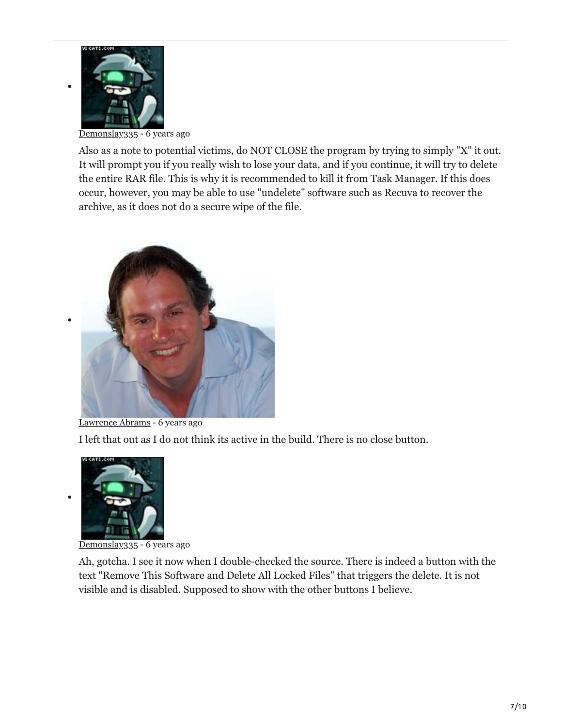

[Demonslay335](https://www.bleepingcomputer.com/forums/u/726225/demonslay335/) - 6 years ago

Also as a note to potential victims, do NOT CLOSE the program by trying to simply "X" it out. It will prompt you if you really wish to lose your data, and if you continue, it will try to delete the entire RAR file. This is why it is recommended to kill it from Task Manager. If this does occur, however, you may be able to use "undelete" software such as Recuva to recover the archive, as it does not do a secure wipe of the file.



[Lawrence Abrams](https://www.bleepingcomputer.com/author/lawrence-abrams/) - 6 years ago

I left that out as I do not think its active in the build. There is no close button.



[Demonslay335](https://www.bleepingcomputer.com/forums/u/726225/demonslay335/) - 6 years ago

Ah, gotcha. I see it now when I double-checked the source. There is indeed a button with the text "Remove This Software and Delete All Locked Files" that triggers the delete. It is not visible and is disabled. Supposed to show with the other buttons I believe.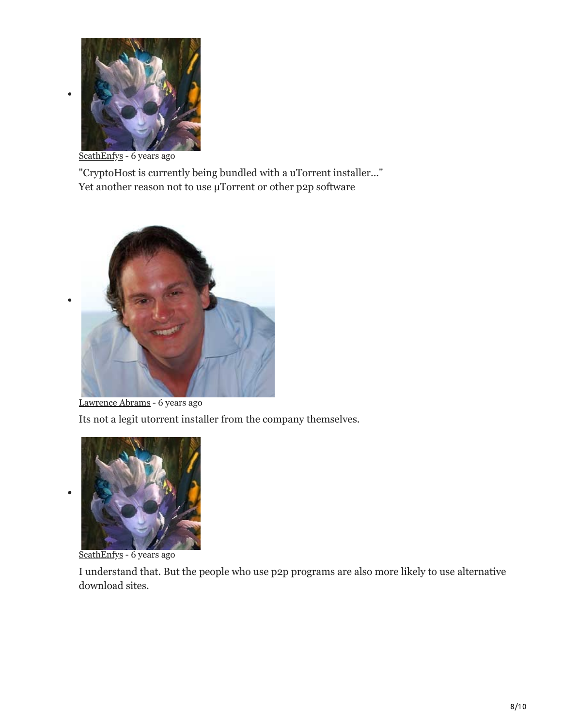

[ScathEnfys](https://www.bleepingcomputer.com/forums/u/983120/scathenfys/) - 6 years ago

"CryptoHost is currently being bundled with a uTorrent installer..." Yet another reason not to use μTorrent or other p2p software



[Lawrence Abrams](https://www.bleepingcomputer.com/author/lawrence-abrams/) - 6 years ago Its not a legit utorrent installer from the company themselves.



[ScathEnfys](https://www.bleepingcomputer.com/forums/u/983120/scathenfys/) - 6 years ago

I understand that. But the people who use p2p programs are also more likely to use alternative download sites.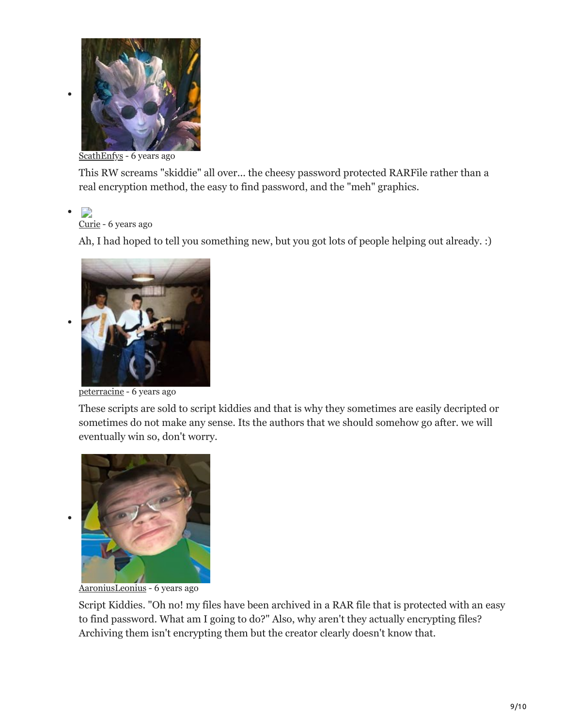

[ScathEnfys](https://www.bleepingcomputer.com/forums/u/983120/scathenfys/) - 6 years ago

This RW screams "skiddie" all over... the cheesy password protected RARFile rather than a real encryption method, the easy to find password, and the "meh" graphics.

### D

#### [Curie](https://www.bleepingcomputer.com/forums/u/976061/curie/) - 6 years ago

Ah, I had hoped to tell you something new, but you got lots of people helping out already. :)



[peterracine](https://www.bleepingcomputer.com/forums/u/943000/peterracine/) - 6 years ago

These scripts are sold to script kiddies and that is why they sometimes are easily decripted or sometimes do not make any sense. Its the authors that we should somehow go after. we will eventually win so, don't worry.



[AaroniusLeonius](https://www.bleepingcomputer.com/forums/u/999237/aaroniusleonius/) - 6 years ago

Script Kiddies. "Oh no! my files have been archived in a RAR file that is protected with an easy to find password. What am I going to do?" Also, why aren't they actually encrypting files? Archiving them isn't encrypting them but the creator clearly doesn't know that.